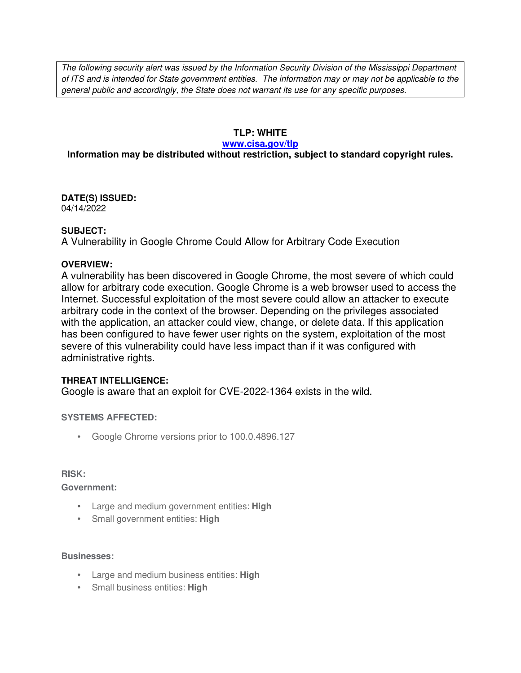The following security alert was issued by the Information Security Division of the Mississippi Department of ITS and is intended for State government entities. The information may or may not be applicable to the general public and accordingly, the State does not warrant its use for any specific purposes.

# **TLP: WHITE**

#### **www.cisa.gov/tlp**

# **Information may be distributed without restriction, subject to standard copyright rules.**

**DATE(S) ISSUED:** 04/14/2022

### **SUBJECT:**

A Vulnerability in Google Chrome Could Allow for Arbitrary Code Execution

### **OVERVIEW:**

A vulnerability has been discovered in Google Chrome, the most severe of which could allow for arbitrary code execution. Google Chrome is a web browser used to access the Internet. Successful exploitation of the most severe could allow an attacker to execute arbitrary code in the context of the browser. Depending on the privileges associated with the application, an attacker could view, change, or delete data. If this application has been configured to have fewer user rights on the system, exploitation of the most severe of this vulnerability could have less impact than if it was configured with administrative rights.

## **THREAT INTELLIGENCE:**

Google is aware that an exploit for CVE-2022-1364 exists in the wild.

## **SYSTEMS AFFECTED:**

• Google Chrome versions prior to 100.0.4896.127

#### **RISK:**

**Government:**

- Large and medium government entities: **High**
- Small government entities: **High**

#### **Businesses:**

- Large and medium business entities: **High**
- Small business entities: **High**